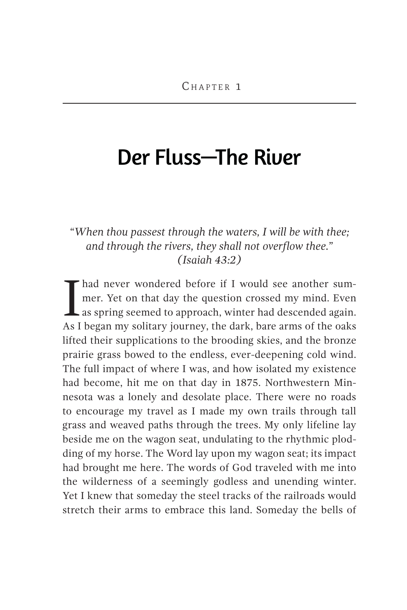## Der Fluss—The River

## *"When thou passest through the waters, I will be with thee; and through the rivers, they shall not overflow thee." (Isaiah 43:2)*

I had never wondered before if I would see another summer. Yet on that day the question crossed my mind. Even as spring seemed to approach, winter had descended again.<br>As I hegan my solitary journey the dark hare arms of t mer. Yet on that day the question crossed my mind. Even L as spring seemed to approach, winter had descended again. As I began my solitary journey, the dark, bare arms of the oaks lifted their supplications to the brooding skies, and the bronze prairie grass bowed to the endless, ever-deepening cold wind. The full impact of where I was, and how isolated my existence had become, hit me on that day in 1875. Northwestern Minnesota was a lonely and desolate place. There were no roads to encourage my travel as I made my own trails through tall grass and weaved paths through the trees. My only lifeline lay beside me on the wagon seat, undulating to the rhythmic plodding of my horse. The Word lay upon my wagon seat; its impact had brought me here. The words of God traveled with me into the wilderness of a seemingly godless and unending winter. Yet I knew that someday the steel tracks of the railroads would stretch their arms to embrace this land. Someday the bells of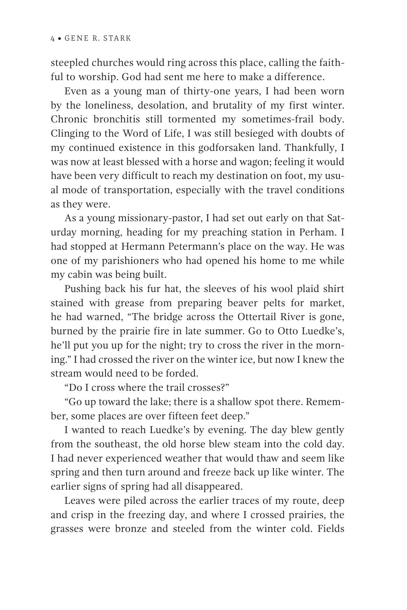steepled churches would ring across this place, calling the faithful to worship. God had sent me here to make a difference.

Even as a young man of thirty-one years, I had been worn by the loneliness, desolation, and brutality of my first winter. Chronic bronchitis still tormented my sometimes-frail body. Clinging to the Word of Life, I was still besieged with doubts of my continued existence in this godforsaken land. Thankfully, I was now at least blessed with a horse and wagon; feeling it would have been very difficult to reach my destination on foot, my usual mode of transportation, especially with the travel conditions as they were.

As a young missionary-pastor, I had set out early on that Saturday morning, heading for my preaching station in Perham. I had stopped at Hermann Petermann's place on the way. He was one of my parishioners who had opened his home to me while my cabin was being built.

Pushing back his fur hat, the sleeves of his wool plaid shirt stained with grease from preparing beaver pelts for market, he had warned, "The bridge across the Ottertail River is gone, burned by the prairie fire in late summer. Go to Otto Luedke's, he'll put you up for the night; try to cross the river in the morning." I had crossed the river on the winter ice, but now I knew the stream would need to be forded.

"Do I cross where the trail crosses?"

"Go up toward the lake; there is a shallow spot there. Remember, some places are over fifteen feet deep."

I wanted to reach Luedke's by evening. The day blew gently from the southeast, the old horse blew steam into the cold day. I had never experienced weather that would thaw and seem like spring and then turn around and freeze back up like winter. The earlier signs of spring had all disappeared.

Leaves were piled across the earlier traces of my route, deep and crisp in the freezing day, and where I crossed prairies, the grasses were bronze and steeled from the winter cold. Fields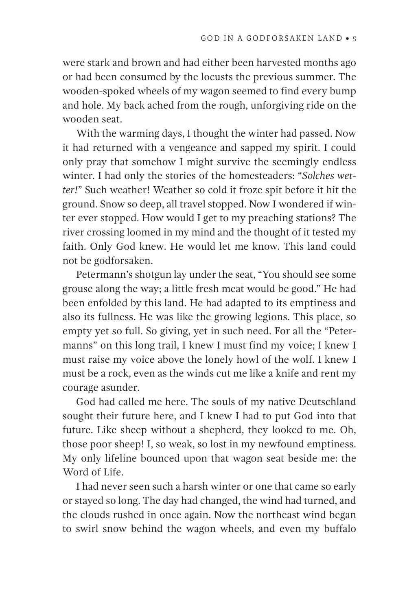were stark and brown and had either been harvested months ago or had been consumed by the locusts the previous summer. The wooden-spoked wheels of my wagon seemed to find every bump and hole. My back ached from the rough, unforgiving ride on the wooden seat.

With the warming days, I thought the winter had passed. Now it had returned with a vengeance and sapped my spirit. I could only pray that somehow I might survive the seemingly endless winter. I had only the stories of the homesteaders: " *Solches wetter!*" Such weather! Weather so cold it froze spit before it hit the ground. Snow so deep, all travel stopped. Now I wondered if winter ever stopped. How would I get to my preaching stations? The river crossing loomed in my mind and the thought of it tested my faith. Only God knew. He would let me know. This land could not be godforsaken.

Petermann's shotgun lay under the seat, "You should see some grouse along the way; a little fresh meat would be good." He had been enfolded by this land. He had adapted to its emptiness and also its fullness. He was like the growing legions. This place, so empty yet so full. So giving, yet in such need. For all the "Petermanns" on this long trail, I knew I must find my voice; I knew I must raise my voice above the lonely howl of the wolf. I knew I must be a rock, even as the winds cut me like a knife and rent my courage asunder.

God had called me here. The souls of my native Deutschland sought their future here, and I knew I had to put God into that future. Like sheep without a shepherd, they looked to me. Oh, those poor sheep! I, so weak, so lost in my newfound emptiness. My only lifeline bounced upon that wagon seat beside me: the Word of Life.

I had never seen such a harsh winter or one that came so early or stayed so long. The day had changed, the wind had turned, and the clouds rushed in once again. Now the northeast wind began to swirl snow behind the wagon wheels, and even my buffalo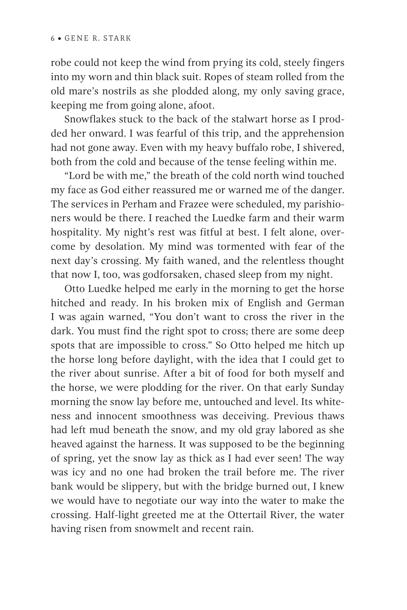robe could not keep the wind from prying its cold, steely fingers into my worn and thin black suit. Ropes of steam rolled from the old mare's nostrils as she plodded along, my only saving grace, keeping me from going alone, afoot.

Snowflakes stuck to the back of the stalwart horse as I prodded her onward. I was fearful of this trip, and the apprehension had not gone away. Even with my heavy buffalo robe, I shivered, both from the cold and because of the tense feeling within me.

"Lord be with me," the breath of the cold north wind touched my face as God either reassured me or warned me of the danger. The services in Perham and Frazee were scheduled, my parishioners would be there. I reached the Luedke farm and their warm hospitality. My night's rest was fitful at best. I felt alone, overcome by desolation. My mind was tormented with fear of the next day's crossing. My faith waned, and the relentless thought that now I, too, was godforsaken, chased sleep from my night.

Otto Luedke helped me early in the morning to get the horse hitched and ready. In his broken mix of English and German I was again warned, "You don't want to cross the river in the dark. You must find the right spot to cross; there are some deep spots that are impossible to cross." So Otto helped me hitch up the horse long before daylight, with the idea that I could get to the river about sunrise. After a bit of food for both myself and the horse, we were plodding for the river. On that early Sunday morning the snow lay before me, untouched and level. Its whiteness and innocent smoothness was deceiving. Previous thaws had left mud beneath the snow, and my old gray labored as she heaved against the harness. It was supposed to be the beginning of spring, yet the snow lay as thick as I had ever seen! The way was icy and no one had broken the trail before me. The river bank would be slippery, but with the bridge burned out, I knew we would have to negotiate our way into the water to make the crossing. Half-light greeted me at the Ottertail River, the water having risen from snowmelt and recent rain.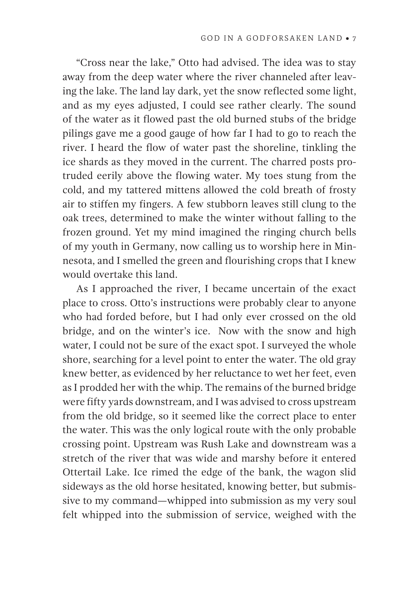"Cross near the lake," Otto had advised. The idea was to stay away from the deep water where the river channeled after leaving the lake. The land lay dark, yet the snow reflected some light, and as my eyes adjusted, I could see rather clearly. The sound of the water as it flowed past the old burned stubs of the bridge pilings gave me a good gauge of how far I had to go to reach the river. I heard the flow of water past the shoreline, tinkling the ice shards as they moved in the current. The charred posts protruded eerily above the flowing water. My toes stung from the cold, and my tattered mittens allowed the cold breath of frosty air to stiffen my fingers. A few stubborn leaves still clung to the oak trees, determined to make the winter without falling to the frozen ground. Yet my mind imagined the ringing church bells of my youth in Germany, now calling us to worship here in Minnesota, and I smelled the green and flourishing crops that I knew would overtake this land.

As I approached the river, I became uncertain of the exact place to cross. Otto's instructions were probably clear to anyone who had forded before, but I had only ever crossed on the old bridge, and on the winter's ice. Now with the snow and high water, I could not be sure of the exact spot. I surveyed the whole shore, searching for a level point to enter the water. The old gray knew better, as evidenced by her reluctance to wet her feet, even as I prodded her with the whip. The remains of the burned bridge were fifty yards downstream, and I was advised to cross upstream from the old bridge, so it seemed like the correct place to enter the water. This was the only logical route with the only probable crossing point. Upstream was Rush Lake and downstream was a stretch of the river that was wide and marshy before it entered Ottertail Lake. Ice rimed the edge of the bank, the wagon slid sideways as the old horse hesitated, knowing better, but submissive to my command—whipped into submission as my very soul felt whipped into the submission of service, weighed with the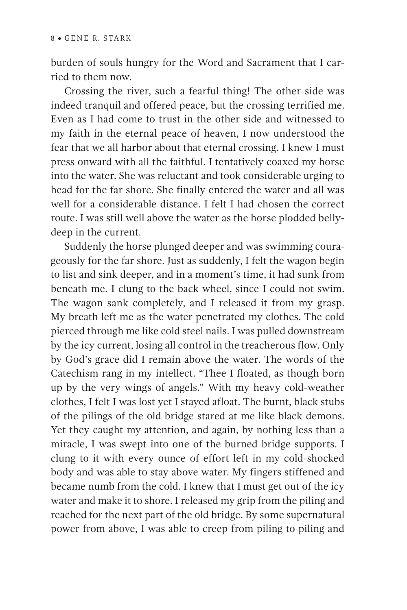burden of souls hungry for the Word and Sacrament that I carried to them now.

Crossing the river, such a fearful thing! The other side was indeed tranquil and offered peace, but the crossing terrified me. Even as I had come to trust in the other side and witnessed to my faith in the eternal peace of heaven, I now understood the fear that we all harbor about that eternal crossing. I knew I must press onward with all the faithful. I tentatively coaxed my horse into the water. She was reluctant and took considerable urging to head for the far shore. She finally entered the water and all was well for a considerable distance. I felt I had chosen the correct route. I was still well above the water as the horse plodded bellydeep in the current.

Suddenly the horse plunged deeper and was swimming courageously for the far shore. Just as suddenly, I felt the wagon begin to list and sink deeper, and in a moment's time, it had sunk from beneath me. I clung to the back wheel, since I could not swim. The wagon sank completely, and I released it from my grasp. My breath left me as the water penetrated my clothes. The cold pierced through me like cold steel nails. I was pulled downstream by the icy current, losing all control in the treacherous flow. Only by God's grace did I remain above the water. The words of the Catechism rang in my intellect. "Thee I floated, as though born up by the very wings of angels." With my heavy cold-weather clothes, I felt I was lost yet I stayed afloat. The burnt, black stubs of the pilings of the old bridge stared at me like black demons. Yet they caught my attention, and again, by nothing less than a miracle, I was swept into one of the burned bridge supports. I clung to it with every ounce of effort left in my cold-shocked body and was able to stay above water. My fingers stiffened and became numb from the cold. I knew that I must get out of the icy water and make it to shore. I released my grip from the piling and reached for the next part of the old bridge. By some supernatural power from above, I was able to creep from piling to piling and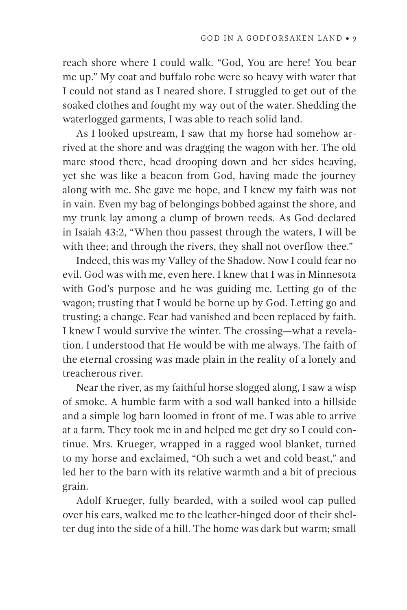reach shore where I could walk. "God, You are here! You bear me up." My coat and buffalo robe were so heavy with water that I could not stand as I neared shore. I struggled to get out of the soaked clothes and fought my way out of the water. Shedding the waterlogged garments, I was able to reach solid land.

As I looked upstream, I saw that my horse had somehow arrived at the shore and was dragging the wagon with her. The old mare stood there, head drooping down and her sides heaving, yet she was like a beacon from God, having made the journey along with me. She gave me hope, and I knew my faith was not in vain. Even my bag of belongings bobbed against the shore, and my trunk lay among a clump of brown reeds. As God declared in Isaiah 43:2, " When thou passest through the waters, I will be with thee; and through the rivers, they shall not overflow thee."

Indeed, this was my Valley of the Shadow. Now I could fear no evil. God was with me, even here. I knew that I was in Minnesota with God's purpose and he was guiding me. Letting go of the wagon; trusting that I would be borne up by God. Letting go and trusting; a change. Fear had vanished and been replaced by faith. I knew I would survive the winter. The crossing—what a revelation. I understood that He would be with me always. The faith of the eternal crossing was made plain in the reality of a lonely and treacherous river.

Near the river, as my faithful horse slogged along, I saw a wisp of smoke. A humble farm with a sod wall banked into a hillside and a simple log barn loomed in front of me. I was able to arrive at a farm. They took me in and helped me get dry so I could continue. Mrs. Krueger, wrapped in a ragged wool blanket, turned to my horse and exclaimed, "Oh such a wet and cold beast," and led her to the barn with its relative warmth and a bit of precious grain.

Adolf Krueger, fully bearded, with a soiled wool cap pulled over his ears, walked me to the leather-hinged door of their shelter dug into the side of a hill. The home was dark but warm; small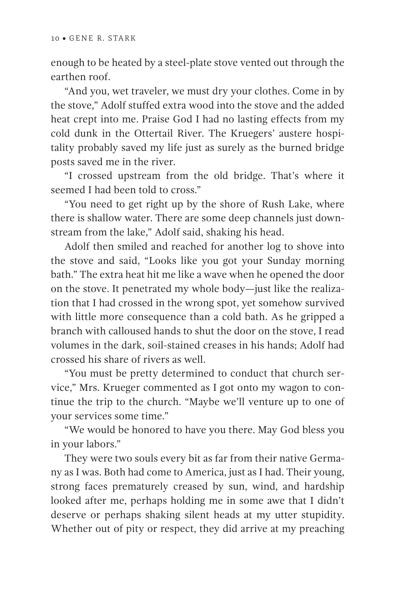enough to be heated by a steel-plate stove vented out through the earthen roof.

"And you, wet traveler, we must dry your clothes. Come in by the stove," Adolf stuffed extra wood into the stove and the added heat crept into me. Praise God I had no lasting effects from my cold dunk in the Ottertail River. The Kruegers' austere hospitality probably saved my life just as surely as the burned bridge posts saved me in the river.

"I crossed upstream from the old bridge. That's where it seemed I had been told to cross."

"You need to get right up by the shore of Rush Lake, where there is shallow water. There are some deep channels just downstream from the lake," Adolf said, shaking his head.

Adolf then smiled and reached for another log to shove into the stove and said, "Looks like you got your Sunday morning bath." The extra heat hit me like a wave when he opened the door on the stove. It penetrated my whole body—just like the realization that I had crossed in the wrong spot, yet somehow survived with little more consequence than a cold bath. As he gripped a branch with calloused hands to shut the door on the stove, I read volumes in the dark, soil-stained creases in his hands; Adolf had crossed his share of rivers as well.

"You must be pretty determined to conduct that church service," Mrs. Krueger commented as I got onto my wagon to continue the trip to the church. "Maybe we'll venture up to one of your services some time."

"We would be honored to have you there. May God bless you in your labors."

They were two souls every bit as far from their native Germany as I was. Both had come to America, just as I had. Their young, strong faces prematurely creased by sun, wind, and hardship looked after me, perhaps holding me in some awe that I didn't deserve or perhaps shaking silent heads at my utter stupidity. Whether out of pity or respect, they did arrive at my preaching